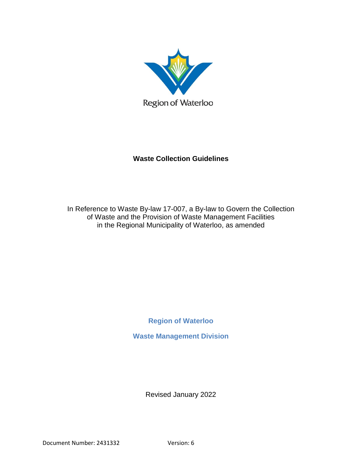

# **Waste Collection Guidelines**

<span id="page-0-0"></span>In Reference to Waste By-law 17-007, a By-law to Govern the Collection of Waste and the Provision of Waste Management Facilities in the Regional Municipality of Waterloo, as amended

**Region of Waterloo**

<span id="page-0-2"></span><span id="page-0-1"></span>**Waste Management Division**

Revised January 2022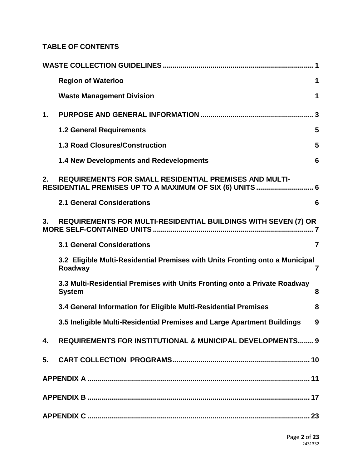# **TABLE OF CONTENTS**

|    | <b>Region of Waterloo</b>                                                                  | 1              |
|----|--------------------------------------------------------------------------------------------|----------------|
|    | <b>Waste Management Division</b>                                                           | 1              |
| 1. |                                                                                            |                |
|    | <b>1.2 General Requirements</b>                                                            | 5              |
|    | <b>1.3 Road Closures/Construction</b>                                                      | 5              |
|    | <b>1.4 New Developments and Redevelopments</b>                                             | 6              |
| 2. | <b>REQUIREMENTS FOR SMALL RESIDENTIAL PREMISES AND MULTI-</b>                              |                |
|    | <b>2.1 General Considerations</b>                                                          | 6              |
| 3. | REQUIREMENTS FOR MULTI-RESIDENTIAL BUILDINGS WITH SEVEN (7) OR                             |                |
|    | <b>3.1 General Considerations</b>                                                          | $\overline{7}$ |
|    | 3.2 Eligible Multi-Residential Premises with Units Fronting onto a Municipal<br>Roadway    | 7              |
|    | 3.3 Multi-Residential Premises with Units Fronting onto a Private Roadway<br><b>System</b> | 8              |
|    | 3.4 General Information for Eligible Multi-Residential Premises                            | 8              |
|    | 3.5 Ineligible Multi-Residential Premises and Large Apartment Buildings                    | 9              |
| 4. | REQUIREMENTS FOR INSTITUTIONAL & MUNICIPAL DEVELOPMENTS 9                                  |                |
|    |                                                                                            |                |
|    |                                                                                            |                |
|    |                                                                                            |                |
|    |                                                                                            |                |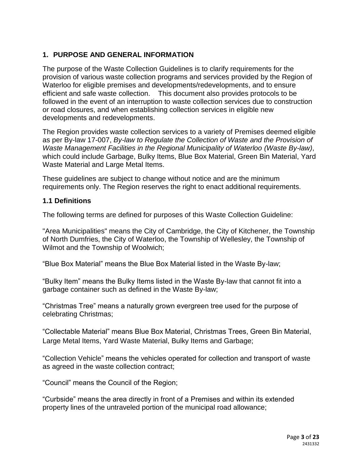# <span id="page-2-0"></span>**1. PURPOSE AND GENERAL INFORMATION**

The purpose of the Waste Collection Guidelines is to clarify requirements for the provision of various waste collection programs and services provided by the Region of Waterloo for eligible premises and developments/redevelopments, and to ensure efficient and safe waste collection. This document also provides protocols to be followed in the event of an interruption to waste collection services due to construction or road closures, and when establishing collection services in eligible new developments and redevelopments.

The Region provides waste collection services to a variety of Premises deemed eligible as per By-law 17-007, *By-law to Regulate the Collection of Waste and the Provision of Waste Management Facilities in the Regional Municipality of Waterloo (Waste By-law)*, which could include Garbage, Bulky Items, Blue Box Material, Green Bin Material, Yard Waste Material and Large Metal Items.

These guidelines are subject to change without notice and are the minimum requirements only. The Region reserves the right to enact additional requirements.

#### **1.1 Definitions**

The following terms are defined for purposes of this Waste Collection Guideline:

"Area Municipalities" means the City of Cambridge, the City of Kitchener, the Township of North Dumfries, the City of Waterloo, the Township of Wellesley, the Township of Wilmot and the Township of Woolwich;

"Blue Box Material" means the Blue Box Material listed in the Waste By-law;

"Bulky Item" means the Bulky Items listed in the Waste By-law that cannot fit into a garbage container such as defined in the Waste By-law;

"Christmas Tree" means a naturally grown evergreen tree used for the purpose of celebrating Christmas;

"Collectable Material" means Blue Box Material, Christmas Trees, Green Bin Material, Large Metal Items, Yard Waste Material, Bulky Items and Garbage;

"Collection Vehicle" means the vehicles operated for collection and transport of waste as agreed in the waste collection contract;

"Council" means the Council of the Region;

"Curbside" means the area directly in front of a Premises and within its extended property lines of the untraveled portion of the municipal road allowance;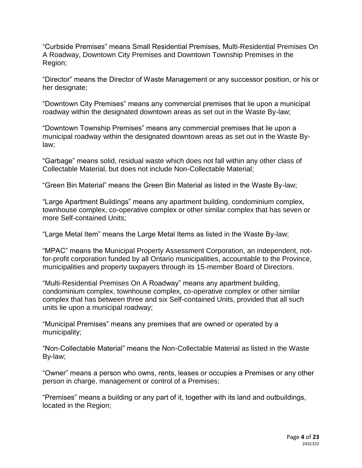"Curbside Premises" means Small Residential Premises, Multi-Residential Premises On A Roadway, Downtown City Premises and Downtown Township Premises in the Region;

"Director" means the Director of Waste Management or any successor position, or his or her designate;

"Downtown City Premises" means any commercial premises that lie upon a municipal roadway within the designated downtown areas as set out in the Waste By-law;

"Downtown Township Premises" means any commercial premises that lie upon a municipal roadway within the designated downtown areas as set out in the Waste Bylaw;

"Garbage" means solid, residual waste which does not fall within any other class of Collectable Material, but does not include Non-Collectable Material;

"Green Bin Material" means the Green Bin Material as listed in the Waste By-law;

"Large Apartment Buildings" means any apartment building, condominium complex, townhouse complex, co-operative complex or other similar complex that has seven or more Self-contained Units;

"Large Metal Item" means the Large Metal Items as listed in the Waste By-law;

"MPAC" means the Municipal Property Assessment Corporation, an independent, notfor-profit corporation funded by all Ontario municipalities, accountable to the Province, municipalities and property taxpayers through its 15-member Board of Directors.

"Multi-Residential Premises On A Roadway" means any apartment building, condominium complex, townhouse complex, co-operative complex or other similar complex that has between three and six Self-contained Units, provided that all such units lie upon a municipal roadway;

"Municipal Premises" means any premises that are owned or operated by a municipality;

"Non-Collectable Material" means the Non-Collectable Material as listed in the Waste By-law;

"Owner" means a person who owns, rents, leases or occupies a Premises or any other person in charge, management or control of a Premises;

"Premises" means a building or any part of it, together with its land and outbuildings, located in the Region;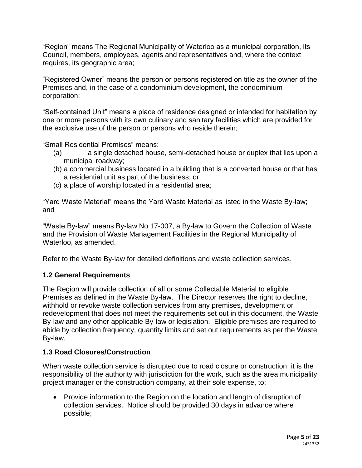"Region" means The Regional Municipality of Waterloo as a municipal corporation, its Council, members, employees, agents and representatives and, where the context requires, its geographic area;

"Registered Owner" means the person or persons registered on title as the owner of the Premises and, in the case of a condominium development, the condominium corporation;

"Self-contained Unit" means a place of residence designed or intended for habitation by one or more persons with its own culinary and sanitary facilities which are provided for the exclusive use of the person or persons who reside therein;

"Small Residential Premises" means:

- (a) a single detached house, semi-detached house or duplex that lies upon a municipal roadway;
- (b) a commercial business located in a building that is a converted house or that has a residential unit as part of the business; or
- (c) a place of worship located in a residential area;

"Yard Waste Material" means the Yard Waste Material as listed in the Waste By-law; and

"Waste By-law" means By-law No 17-007, a By-law to Govern the Collection of Waste and the Provision of Waste Management Facilities in the Regional Municipality of Waterloo, as amended.

Refer to the Waste By-law for detailed definitions and waste collection services.

# <span id="page-4-0"></span>**1.2 General Requirements**

The Region will provide collection of all or some Collectable Material to eligible Premises as defined in the Waste By-law. The Director reserves the right to decline, withhold or revoke waste collection services from any premises, development or redevelopment that does not meet the requirements set out in this document, the Waste By-law and any other applicable By-law or legislation. Eligible premises are required to abide by collection frequency, quantity limits and set out requirements as per the Waste By-law.

# <span id="page-4-1"></span>**1.3 Road Closures/Construction**

When waste collection service is disrupted due to road closure or construction, it is the responsibility of the authority with jurisdiction for the work, such as the area municipality project manager or the construction company, at their sole expense, to:

 Provide information to the Region on the location and length of disruption of collection services. Notice should be provided 30 days in advance where possible;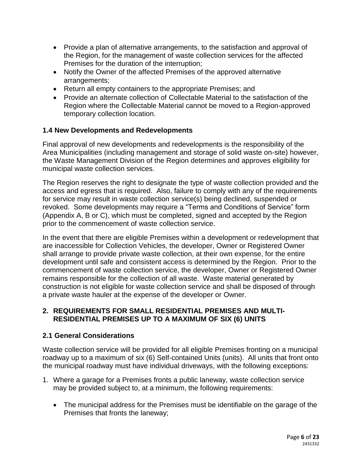- Provide a plan of alternative arrangements, to the satisfaction and approval of the Region, for the management of waste collection services for the affected Premises for the duration of the interruption;
- Notify the Owner of the affected Premises of the approved alternative arrangements;
- Return all empty containers to the appropriate Premises; and
- Provide an alternate collection of Collectable Material to the satisfaction of the Region where the Collectable Material cannot be moved to a Region-approved temporary collection location.

# <span id="page-5-0"></span>**1.4 New Developments and Redevelopments**

Final approval of new developments and redevelopments is the responsibility of the Area Municipalities (including management and storage of solid waste on-site) however, the Waste Management Division of the Region determines and approves eligibility for municipal waste collection services.

The Region reserves the right to designate the type of waste collection provided and the access and egress that is required. Also, failure to comply with any of the requirements for service may result in waste collection service(s) being declined, suspended or revoked. Some developments may require a "Terms and Conditions of Service" form (Appendix A, B or C), which must be completed, signed and accepted by the Region prior to the commencement of waste collection service.

In the event that there are eligible Premises within a development or redevelopment that are inaccessible for Collection Vehicles, the developer, Owner or Registered Owner shall arrange to provide private waste collection, at their own expense, for the entire development until safe and consistent access is determined by the Region. Prior to the commencement of waste collection service, the developer, Owner or Registered Owner remains responsible for the collection of all waste. Waste material generated by construction is not eligible for waste collection service and shall be disposed of through a private waste hauler at the expense of the developer or Owner.

# <span id="page-5-1"></span>**2. REQUIREMENTS FOR SMALL RESIDENTIAL PREMISES AND MULTI-RESIDENTIAL PREMISES UP TO A MAXIMUM OF SIX (6) UNITS**

# <span id="page-5-2"></span>**2.1 General Considerations**

Waste collection service will be provided for all eligible Premises fronting on a municipal roadway up to a maximum of six (6) Self-contained Units (units). All units that front onto the municipal roadway must have individual driveways, with the following exceptions:

- 1. Where a garage for a Premises fronts a public laneway, waste collection service may be provided subject to, at a minimum, the following requirements:
	- The municipal address for the Premises must be identifiable on the garage of the Premises that fronts the laneway;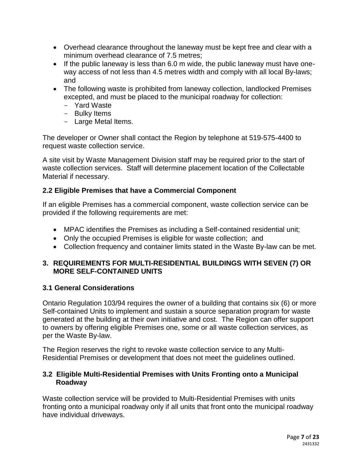- Overhead clearance throughout the laneway must be kept free and clear with a minimum overhead clearance of 7.5 metres;
- If the public laneway is less than 6.0 m wide, the public laneway must have oneway access of not less than 4.5 metres width and comply with all local By-laws; and
- The following waste is prohibited from laneway collection, landlocked Premises excepted, and must be placed to the municipal roadway for collection:
	- Yard Waste
	- Bulky Items
	- Large Metal Items.

The developer or Owner shall contact the Region by telephone at 519-575-4400 to request waste collection service.

A site visit by Waste Management Division staff may be required prior to the start of waste collection services. Staff will determine placement location of the Collectable Material if necessary.

# **2.2 Eligible Premises that have a Commercial Component**

If an eligible Premises has a commercial component, waste collection service can be provided if the following requirements are met:

- MPAC identifies the Premises as including a Self-contained residential unit;
- Only the occupied Premises is eligible for waste collection; and
- Collection frequency and container limits stated in the Waste By-law can be met.

# <span id="page-6-0"></span>**3. REQUIREMENTS FOR MULTI-RESIDENTIAL BUILDINGS WITH SEVEN (7) OR MORE SELF-CONTAINED UNITS**

# <span id="page-6-1"></span>**3.1 General Considerations**

Ontario Regulation 103/94 requires the owner of a building that contains six (6) or more Self-contained Units to implement and sustain a source separation program for waste generated at the building at their own initiative and cost. The Region can offer support to owners by offering eligible Premises one, some or all waste collection services, as per the Waste By-law.

The Region reserves the right to revoke waste collection service to any Multi-Residential Premises or development that does not meet the guidelines outlined.

# <span id="page-6-2"></span>**3.2 Eligible Multi-Residential Premises with Units Fronting onto a Municipal Roadway**

Waste collection service will be provided to Multi-Residential Premises with units fronting onto a municipal roadway only if all units that front onto the municipal roadway have individual driveways.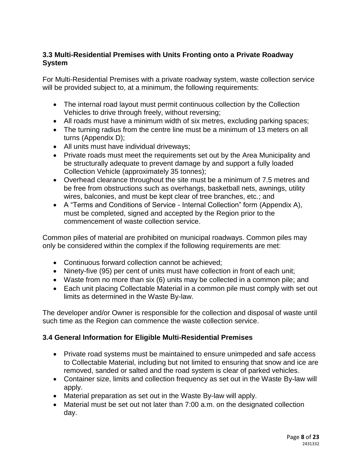# <span id="page-7-0"></span>**3.3 Multi-Residential Premises with Units Fronting onto a Private Roadway System**

For Multi-Residential Premises with a private roadway system, waste collection service will be provided subject to, at a minimum, the following requirements:

- The internal road layout must permit continuous collection by the Collection Vehicles to drive through freely, without reversing;
- All roads must have a minimum width of six metres, excluding parking spaces;
- The turning radius from the centre line must be a minimum of 13 meters on all turns (Appendix D);
- All units must have individual driveways;
- Private roads must meet the requirements set out by the Area Municipality and be structurally adequate to prevent damage by and support a fully loaded Collection Vehicle (approximately 35 tonnes);
- Overhead clearance throughout the site must be a minimum of 7.5 metres and be free from obstructions such as overhangs, basketball nets, awnings, utility wires, balconies, and must be kept clear of tree branches, etc.; and
- A "Terms and Conditions of Service Internal Collection" form (Appendix A), must be completed, signed and accepted by the Region prior to the commencement of waste collection service.

Common piles of material are prohibited on municipal roadways. Common piles may only be considered within the complex if the following requirements are met:

- Continuous forward collection cannot be achieved;
- Ninety-five (95) per cent of units must have collection in front of each unit;
- Waste from no more than six (6) units may be collected in a common pile; and
- Each unit placing Collectable Material in a common pile must comply with set out limits as determined in the Waste By-law.

The developer and/or Owner is responsible for the collection and disposal of waste until such time as the Region can commence the waste collection service.

# <span id="page-7-1"></span>**3.4 General Information for Eligible Multi-Residential Premises**

- Private road systems must be maintained to ensure unimpeded and safe access to Collectable Material, including but not limited to ensuring that snow and ice are removed, sanded or salted and the road system is clear of parked vehicles.
- Container size, limits and collection frequency as set out in the Waste By-law will apply.
- Material preparation as set out in the Waste By-law will apply.
- Material must be set out not later than 7:00 a.m. on the designated collection day.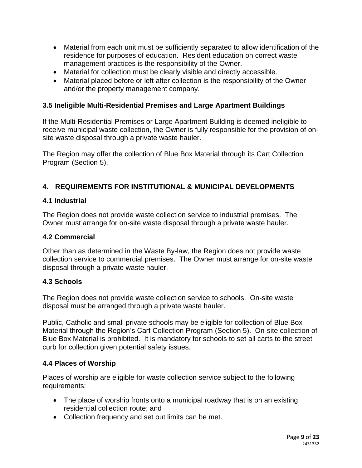- Material from each unit must be sufficiently separated to allow identification of the residence for purposes of education. Resident education on correct waste management practices is the responsibility of the Owner.
- Material for collection must be clearly visible and directly accessible.
- Material placed before or left after collection is the responsibility of the Owner and/or the property management company.

# <span id="page-8-0"></span>**3.5 Ineligible Multi-Residential Premises and Large Apartment Buildings**

If the Multi-Residential Premises or Large Apartment Building is deemed ineligible to receive municipal waste collection, the Owner is fully responsible for the provision of onsite waste disposal through a private waste hauler.

The Region may offer the collection of Blue Box Material through its Cart Collection Program (Section 5).

# <span id="page-8-1"></span>**4. REQUIREMENTS FOR INSTITUTIONAL & MUNICIPAL DEVELOPMENTS**

# **4.1 Industrial**

The Region does not provide waste collection service to industrial premises. The Owner must arrange for on-site waste disposal through a private waste hauler.

#### **4.2 Commercial**

Other than as determined in the Waste By-law, the Region does not provide waste collection service to commercial premises. The Owner must arrange for on-site waste disposal through a private waste hauler.

# **4.3 Schools**

The Region does not provide waste collection service to schools. On-site waste disposal must be arranged through a private waste hauler.

Public, Catholic and small private schools may be eligible for collection of Blue Box Material through the Region's Cart Collection Program (Section 5). On-site collection of Blue Box Material is prohibited. It is mandatory for schools to set all carts to the street curb for collection given potential safety issues.

# **4.4 Places of Worship**

Places of worship are eligible for waste collection service subject to the following requirements:

- The place of worship fronts onto a municipal roadway that is on an existing residential collection route; and
- Collection frequency and set out limits can be met.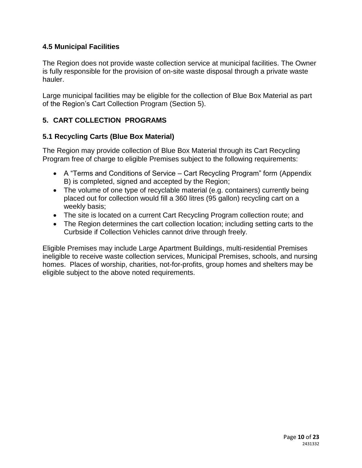# **4.5 Municipal Facilities**

The Region does not provide waste collection service at municipal facilities. The Owner is fully responsible for the provision of on-site waste disposal through a private waste hauler.

Large municipal facilities may be eligible for the collection of Blue Box Material as part of the Region's Cart Collection Program (Section 5).

# <span id="page-9-0"></span>**5. CART COLLECTION PROGRAMS**

# **5.1 Recycling Carts (Blue Box Material)**

The Region may provide collection of Blue Box Material through its Cart Recycling Program free of charge to eligible Premises subject to the following requirements:

- A "Terms and Conditions of Service Cart Recycling Program" form (Appendix B) is completed, signed and accepted by the Region;
- The volume of one type of recyclable material (e.g. containers) currently being placed out for collection would fill a 360 litres (95 gallon) recycling cart on a weekly basis;
- The site is located on a current Cart Recycling Program collection route; and
- The Region determines the cart collection location; including setting carts to the Curbside if Collection Vehicles cannot drive through freely.

Eligible Premises may include Large Apartment Buildings, multi-residential Premises ineligible to receive waste collection services, Municipal Premises, schools, and nursing homes. Places of worship, charities, not-for-profits, group homes and shelters may be eligible subject to the above noted requirements.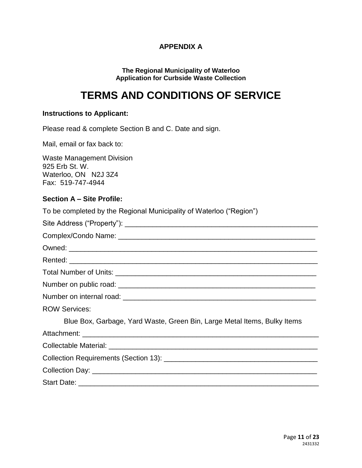# **APPENDIX A**

#### **The Regional Municipality of Waterloo Application for Curbside Waste Collection**

# <span id="page-10-0"></span>**TERMS AND CONDITIONS OF SERVICE**

#### **Instructions to Applicant:**

Please read & complete Section B and C. Date and sign.

Mail, email or fax back to:

Waste Management Division 925 Erb St. W. Waterloo, ON N2J 3Z4 Fax: 519-747-4944

#### **Section A – Site Profile:**

To be completed by the Regional Municipality of Waterloo ("Region")

| <b>ROW Services:</b>                                                     |
|--------------------------------------------------------------------------|
| Blue Box, Garbage, Yard Waste, Green Bin, Large Metal Items, Bulky Items |
|                                                                          |
|                                                                          |
|                                                                          |
|                                                                          |
|                                                                          |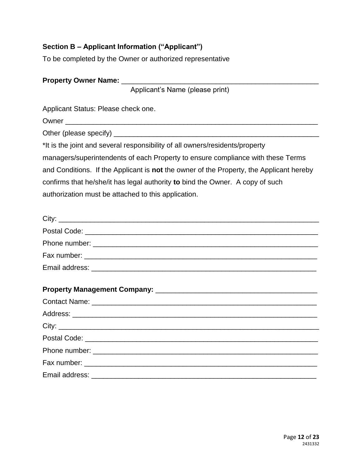# **Section B – Applicant Information ("Applicant")**

To be completed by the Owner or authorized representative

| Property Owner Name: ________________                                                   |  |  |
|-----------------------------------------------------------------------------------------|--|--|
| Applicant's Name (please print)                                                         |  |  |
| Applicant Status: Please check one.                                                     |  |  |
|                                                                                         |  |  |
|                                                                                         |  |  |
| *It is the joint and several responsibility of all owners/residents/property            |  |  |
| managers/superintendents of each Property to ensure compliance with these Terms         |  |  |
| and Conditions. If the Applicant is not the owner of the Property, the Applicant hereby |  |  |
| confirms that he/she/it has legal authority to bind the Owner. A copy of such           |  |  |
| authorization must be attached to this application.                                     |  |  |
|                                                                                         |  |  |
|                                                                                         |  |  |
|                                                                                         |  |  |
|                                                                                         |  |  |
|                                                                                         |  |  |
|                                                                                         |  |  |
|                                                                                         |  |  |
|                                                                                         |  |  |
|                                                                                         |  |  |
|                                                                                         |  |  |
|                                                                                         |  |  |
|                                                                                         |  |  |
| Email address:                                                                          |  |  |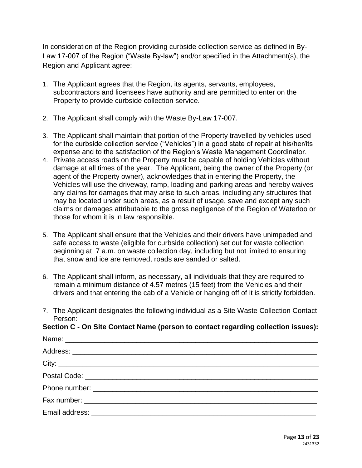In consideration of the Region providing curbside collection service as defined in By-Law 17-007 of the Region ("Waste By-law") and/or specified in the Attachment(s), the Region and Applicant agree:

- 1. The Applicant agrees that the Region, its agents, servants, employees, subcontractors and licensees have authority and are permitted to enter on the Property to provide curbside collection service.
- 2. The Applicant shall comply with the Waste By-Law 17-007.
- 3. The Applicant shall maintain that portion of the Property travelled by vehicles used for the curbside collection service ("Vehicles") in a good state of repair at his/her/its expense and to the satisfaction of the Region's Waste Management Coordinator.
- 4. Private access roads on the Property must be capable of holding Vehicles without damage at all times of the year. The Applicant, being the owner of the Property (or agent of the Property owner), acknowledges that in entering the Property, the Vehicles will use the driveway, ramp, loading and parking areas and hereby waives any claims for damages that may arise to such areas, including any structures that may be located under such areas, as a result of usage, save and except any such claims or damages attributable to the gross negligence of the Region of Waterloo or those for whom it is in law responsible.
- 5. The Applicant shall ensure that the Vehicles and their drivers have unimpeded and safe access to waste (eligible for curbside collection) set out for waste collection beginning at 7 a.m. on waste collection day, including but not limited to ensuring that snow and ice are removed, roads are sanded or salted.
- 6. The Applicant shall inform, as necessary, all individuals that they are required to remain a minimum distance of 4.57 metres (15 feet) from the Vehicles and their drivers and that entering the cab of a Vehicle or hanging off of it is strictly forbidden.
- 7. The Applicant designates the following individual as a Site Waste Collection Contact Person:

**Section C - On Site Contact Name (person to contact regarding collection issues):** Name: \_\_\_\_\_\_\_\_\_\_\_\_\_\_\_\_\_\_\_\_\_\_\_\_\_\_\_\_\_\_\_\_\_\_\_\_\_\_\_\_\_\_\_\_\_\_\_\_\_\_\_\_\_\_\_\_\_\_\_\_\_\_\_\_ Address:  $\text{City:}\quad$ Postal Code: \_\_\_\_\_\_\_\_\_\_\_\_\_\_\_\_\_\_\_\_\_\_\_\_\_\_\_\_\_\_\_\_\_\_\_\_\_\_\_\_\_\_\_\_\_\_\_\_\_\_\_\_\_\_\_\_\_\_\_ Phone number: \_\_\_\_\_\_\_\_\_\_\_\_\_\_\_\_\_\_\_\_\_\_\_\_\_\_\_\_\_\_\_\_\_\_\_\_\_\_\_\_\_\_\_\_\_\_\_\_\_\_\_\_\_\_\_\_\_ Fax number: \_\_\_\_\_\_\_\_\_\_\_\_\_\_\_\_\_\_\_\_\_\_\_\_\_\_\_\_\_\_\_\_\_\_\_\_\_\_\_\_\_\_\_\_\_\_\_\_\_\_\_\_\_\_\_\_\_\_\_ Email address: \_\_\_\_\_\_\_\_\_\_\_\_\_\_\_\_\_\_\_\_\_\_\_\_\_\_\_\_\_\_\_\_\_\_\_\_\_\_\_\_\_\_\_\_\_\_\_\_\_\_\_\_\_\_\_\_\_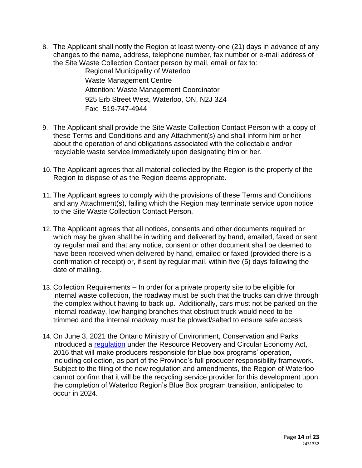8. The Applicant shall notify the Region at least twenty-one (21) days in advance of any changes to the name, address, telephone number, fax number or e-mail address of the Site Waste Collection Contact person by mail, email or fax to:

> Regional Municipality of Waterloo Waste Management Centre Attention: Waste Management Coordinator 925 Erb Street West, Waterloo, ON, N2J 3Z4 Fax: 519-747-4944

- 9. The Applicant shall provide the Site Waste Collection Contact Person with a copy of these Terms and Conditions and any Attachment(s) and shall inform him or her about the operation of and obligations associated with the collectable and/or recyclable waste service immediately upon designating him or her.
- 10. The Applicant agrees that all material collected by the Region is the property of the Region to dispose of as the Region deems appropriate.
- 11. The Applicant agrees to comply with the provisions of these Terms and Conditions and any Attachment(s), failing which the Region may terminate service upon notice to the Site Waste Collection Contact Person.
- 12. The Applicant agrees that all notices, consents and other documents required or which may be given shall be in writing and delivered by hand, emailed, faxed or sent by regular mail and that any notice, consent or other document shall be deemed to have been received when delivered by hand, emailed or faxed (provided there is a confirmation of receipt) or, if sent by regular mail, within five (5) days following the date of mailing.
- 13. Collection Requirements In order for a private property site to be eligible for internal waste collection, the roadway must be such that the trucks can drive through the complex without having to back up. Additionally, cars must not be parked on the internal roadway, low hanging branches that obstruct truck would need to be trimmed and the internal roadway must be plowed/salted to ensure safe access.
- 14. On June 3, 2021 the Ontario Ministry of Environment, Conservation and Parks introduced a [regulation](https://www.ontario.ca/laws/regulation/r21391) under the Resource Recovery and Circular Economy Act, 2016 that will make producers responsible for blue box programs' operation, including collection, as part of the Province's full producer responsibility framework. Subject to the filing of the new regulation and amendments, the Region of Waterloo cannot confirm that it will be the recycling service provider for this development upon the completion of Waterloo Region's Blue Box program transition, anticipated to occur in 2024.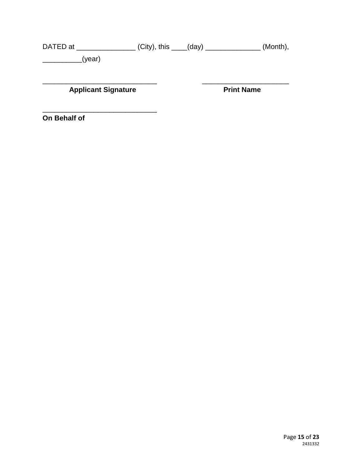DATED at \_\_\_\_\_\_\_\_\_\_\_\_\_\_\_\_\_\_\_(City), this \_\_\_\_(day) \_\_\_\_\_\_\_\_\_\_\_\_\_\_\_\_\_\_\_(Month), \_\_\_\_\_\_\_\_\_\_(year)

**Applicant Signature** 

 $\overline{\phantom{a}}$  , and the set of the set of the set of the set of the set of the set of the set of the set of the set of the set of the set of the set of the set of the set of the set of the set of the set of the set of the s

\_\_\_\_\_\_\_\_\_\_\_\_\_\_\_\_\_\_\_\_\_\_\_\_\_\_\_\_\_ \_\_\_\_\_\_\_\_\_\_\_\_\_\_\_\_\_\_\_\_\_\_

**On Behalf of**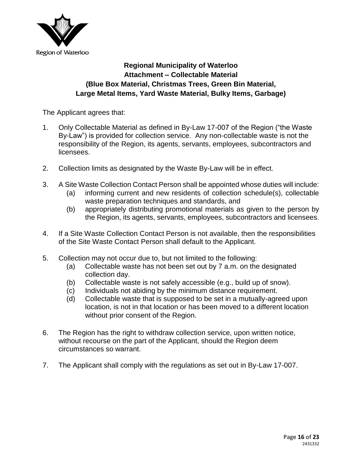

# **Regional Municipality of Waterloo Attachment – Collectable Material (Blue Box Material, Christmas Trees, Green Bin Material, Large Metal Items, Yard Waste Material, Bulky Items, Garbage)**

The Applicant agrees that:

- 1. Only Collectable Material as defined in By-Law 17-007 of the Region ("the Waste By-Law") is provided for collection service. Any non-collectable waste is not the responsibility of the Region, its agents, servants, employees, subcontractors and licensees.
- 2. Collection limits as designated by the Waste By-Law will be in effect.
- 3. A Site Waste Collection Contact Person shall be appointed whose duties will include: (a) informing current and new residents of collection schedule(s), collectable
	- waste preparation techniques and standards, and (b) appropriately distributing promotional materials as given to the person by
	- the Region, its agents, servants, employees, subcontractors and licensees.
- 4. If a Site Waste Collection Contact Person is not available, then the responsibilities of the Site Waste Contact Person shall default to the Applicant.
- 5. Collection may not occur due to, but not limited to the following:
	- (a) Collectable waste has not been set out by 7 a.m. on the designated collection day.
	- (b) Collectable waste is not safely accessible (e.g., build up of snow).
	- (c) Individuals not abiding by the minimum distance requirement.
	- (d) Collectable waste that is supposed to be set in a mutually-agreed upon location, is not in that location or has been moved to a different location without prior consent of the Region.
- 6. The Region has the right to withdraw collection service, upon written notice, without recourse on the part of the Applicant, should the Region deem circumstances so warrant.
- 7. The Applicant shall comply with the regulations as set out in By-Law 17-007.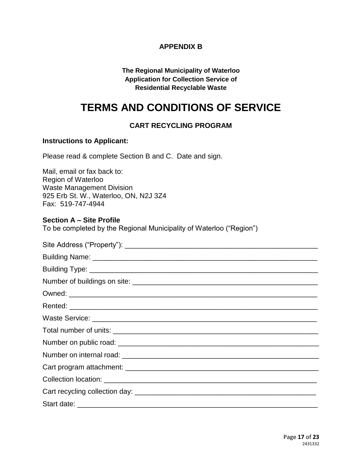# **APPENDIX B**

#### **The Regional Municipality of Waterloo Application for Collection Service of Residential Recyclable Waste**

# <span id="page-16-0"></span>**TERMS AND CONDITIONS OF SERVICE**

# **CART RECYCLING PROGRAM**

### **Instructions to Applicant:**

Please read & complete Section B and C. Date and sign.

| Mail, email or fax back to:           |
|---------------------------------------|
| <b>Region of Waterloo</b>             |
| <b>Waste Management Division</b>      |
| 925 Erb St. W., Waterloo, ON, N2J 3Z4 |
| Fax: 519-747-4944                     |

#### **Section A – Site Profile**

To be completed by the Regional Municipality of Waterloo ("Region")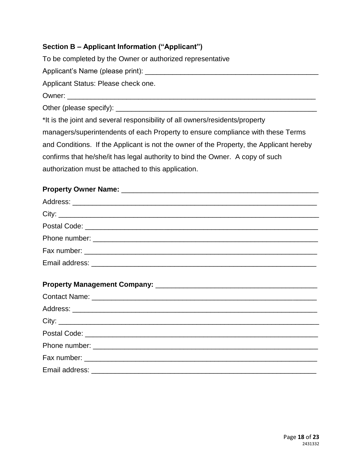# **Section B – Applicant Information ("Applicant")**

To be completed by the Owner or authorized representative Applicant's Name (please print): \_\_\_\_\_\_\_\_\_\_\_\_\_\_\_\_\_\_\_\_\_\_\_\_\_\_\_\_\_\_\_\_\_\_\_\_\_\_\_\_\_\_\_\_ Applicant Status: Please check one. Owner: \_\_\_\_\_\_\_\_\_\_\_\_\_\_\_\_\_\_\_\_\_\_\_\_\_\_\_\_\_\_\_\_\_\_\_\_\_\_\_\_\_\_\_\_\_\_\_\_\_\_\_\_\_\_\_\_\_\_\_\_\_\_\_ Other (please specify):  $\Box$ \*It is the joint and several responsibility of all owners/residents/property managers/superintendents of each Property to ensure compliance with these Terms and Conditions. If the Applicant is not the owner of the Property, the Applicant hereby confirms that he/she/it has legal authority to bind the Owner. A copy of such authorization must be attached to this application.

#### **Property Owner Name: Department of the UK and Security Owner Name:**  $\mathbf{C} = \mathbf{C} \mathbf{C} \mathbf{C}$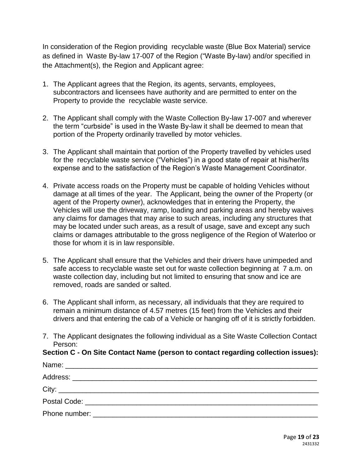In consideration of the Region providing recyclable waste (Blue Box Material) service as defined in Waste By-law 17-007 of the Region ("Waste By-law) and/or specified in the Attachment(s), the Region and Applicant agree:

- 1. The Applicant agrees that the Region, its agents, servants, employees, subcontractors and licensees have authority and are permitted to enter on the Property to provide the recyclable waste service.
- 2. The Applicant shall comply with the Waste Collection By-law 17-007 and wherever the term "curbside" is used in the Waste By-law it shall be deemed to mean that portion of the Property ordinarily travelled by motor vehicles.
- 3. The Applicant shall maintain that portion of the Property travelled by vehicles used for the recyclable waste service ("Vehicles") in a good state of repair at his/her/its expense and to the satisfaction of the Region's Waste Management Coordinator.
- 4. Private access roads on the Property must be capable of holding Vehicles without damage at all times of the year. The Applicant, being the owner of the Property (or agent of the Property owner), acknowledges that in entering the Property, the Vehicles will use the driveway, ramp, loading and parking areas and hereby waives any claims for damages that may arise to such areas, including any structures that may be located under such areas, as a result of usage, save and except any such claims or damages attributable to the gross negligence of the Region of Waterloo or those for whom it is in law responsible.
- 5. The Applicant shall ensure that the Vehicles and their drivers have unimpeded and safe access to recyclable waste set out for waste collection beginning at 7 a.m. on waste collection day, including but not limited to ensuring that snow and ice are removed, roads are sanded or salted.
- 6. The Applicant shall inform, as necessary, all individuals that they are required to remain a minimum distance of 4.57 metres (15 feet) from the Vehicles and their drivers and that entering the cab of a Vehicle or hanging off of it is strictly forbidden.
- 7. The Applicant designates the following individual as a Site Waste Collection Contact Person:

#### **Section C - On Site Contact Name (person to contact regarding collection issues):**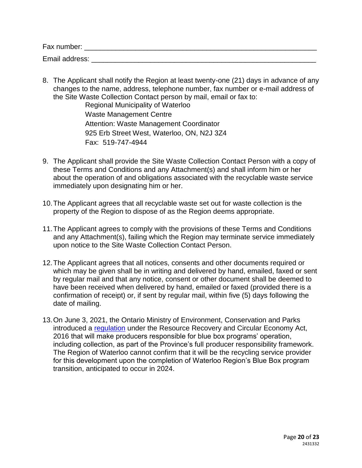| Fax number:    |  |  |  |
|----------------|--|--|--|
| Email address: |  |  |  |

8. The Applicant shall notify the Region at least twenty-one (21) days in advance of any changes to the name, address, telephone number, fax number or e-mail address of the Site Waste Collection Contact person by mail, email or fax to:

Regional Municipality of Waterloo Waste Management Centre Attention: Waste Management Coordinator 925 Erb Street West, Waterloo, ON, N2J 3Z4 Fax: 519-747-4944

- 9. The Applicant shall provide the Site Waste Collection Contact Person with a copy of these Terms and Conditions and any Attachment(s) and shall inform him or her about the operation of and obligations associated with the recyclable waste service immediately upon designating him or her.
- 10.The Applicant agrees that all recyclable waste set out for waste collection is the property of the Region to dispose of as the Region deems appropriate.
- 11.The Applicant agrees to comply with the provisions of these Terms and Conditions and any Attachment(s), failing which the Region may terminate service immediately upon notice to the Site Waste Collection Contact Person.
- 12.The Applicant agrees that all notices, consents and other documents required or which may be given shall be in writing and delivered by hand, emailed, faxed or sent by regular mail and that any notice, consent or other document shall be deemed to have been received when delivered by hand, emailed or faxed (provided there is a confirmation of receipt) or, if sent by regular mail, within five (5) days following the date of mailing.
- 13.On June 3, 2021, the Ontario Ministry of Environment, Conservation and Parks introduced a [regulation](https://www.ontario.ca/laws/regulation/r21391) under the Resource Recovery and Circular Economy Act, 2016 that will make producers responsible for blue box programs' operation, including collection, as part of the Province's full producer responsibility framework. The Region of Waterloo cannot confirm that it will be the recycling service provider for this development upon the completion of Waterloo Region's Blue Box program transition, anticipated to occur in 2024.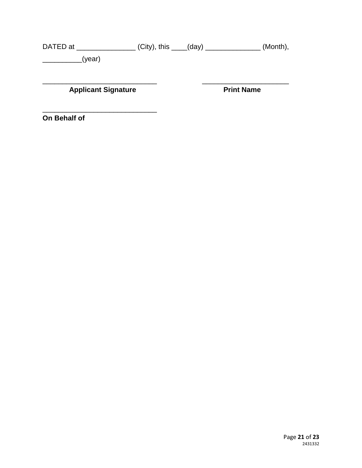DATED at \_\_\_\_\_\_\_\_\_\_\_\_\_\_\_\_\_\_\_(City), this \_\_\_\_(day) \_\_\_\_\_\_\_\_\_\_\_\_\_\_\_\_\_\_\_(Month), \_\_\_\_\_\_\_\_\_\_(year)

**Applicant Signature** 

 $\overline{\phantom{a}}$  , and the set of the set of the set of the set of the set of the set of the set of the set of the set of the set of the set of the set of the set of the set of the set of the set of the set of the set of the s

\_\_\_\_\_\_\_\_\_\_\_\_\_\_\_\_\_\_\_\_\_\_\_\_\_\_\_\_\_ \_\_\_\_\_\_\_\_\_\_\_\_\_\_\_\_\_\_\_\_\_\_

**On Behalf of**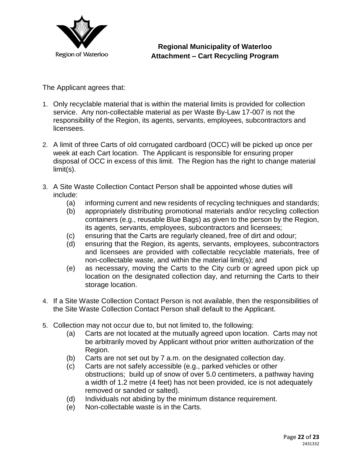

**Regional Municipality of Waterloo Attachment – Cart Recycling Program**

The Applicant agrees that:

- 1. Only recyclable material that is within the material limits is provided for collection service. Any non-collectable material as per Waste By-Law 17-007 is not the responsibility of the Region, its agents, servants, employees, subcontractors and licensees.
- 2. A limit of three Carts of old corrugated cardboard (OCC) will be picked up once per week at each Cart location. The Applicant is responsible for ensuring proper disposal of OCC in excess of this limit. The Region has the right to change material limit(s).
- 3. A Site Waste Collection Contact Person shall be appointed whose duties will include:
	- (a) informing current and new residents of recycling techniques and standards;
	- (b) appropriately distributing promotional materials and/or recycling collection containers (e.g., reusable Blue Bags) as given to the person by the Region, its agents, servants, employees, subcontractors and licensees;
	- (c) ensuring that the Carts are regularly cleaned, free of dirt and odour;
	- (d) ensuring that the Region, its agents, servants, employees, subcontractors and licensees are provided with collectable recyclable materials, free of non-collectable waste, and within the material limit(s); and
	- (e) as necessary, moving the Carts to the City curb or agreed upon pick up location on the designated collection day, and returning the Carts to their storage location.
- 4. If a Site Waste Collection Contact Person is not available, then the responsibilities of the Site Waste Collection Contact Person shall default to the Applicant.
- 5. Collection may not occur due to, but not limited to, the following:
	- (a) Carts are not located at the mutually agreed upon location. Carts may not be arbitrarily moved by Applicant without prior written authorization of the Region.
	- (b) Carts are not set out by 7 a.m. on the designated collection day.
	- (c) Carts are not safely accessible (e.g., parked vehicles or other obstructions; build up of snow of over 5.0 centimeters, a pathway having a width of 1.2 metre (4 feet) has not been provided, ice is not adequately removed or sanded or salted).
	- (d) Individuals not abiding by the minimum distance requirement.
	- (e) Non-collectable waste is in the Carts.